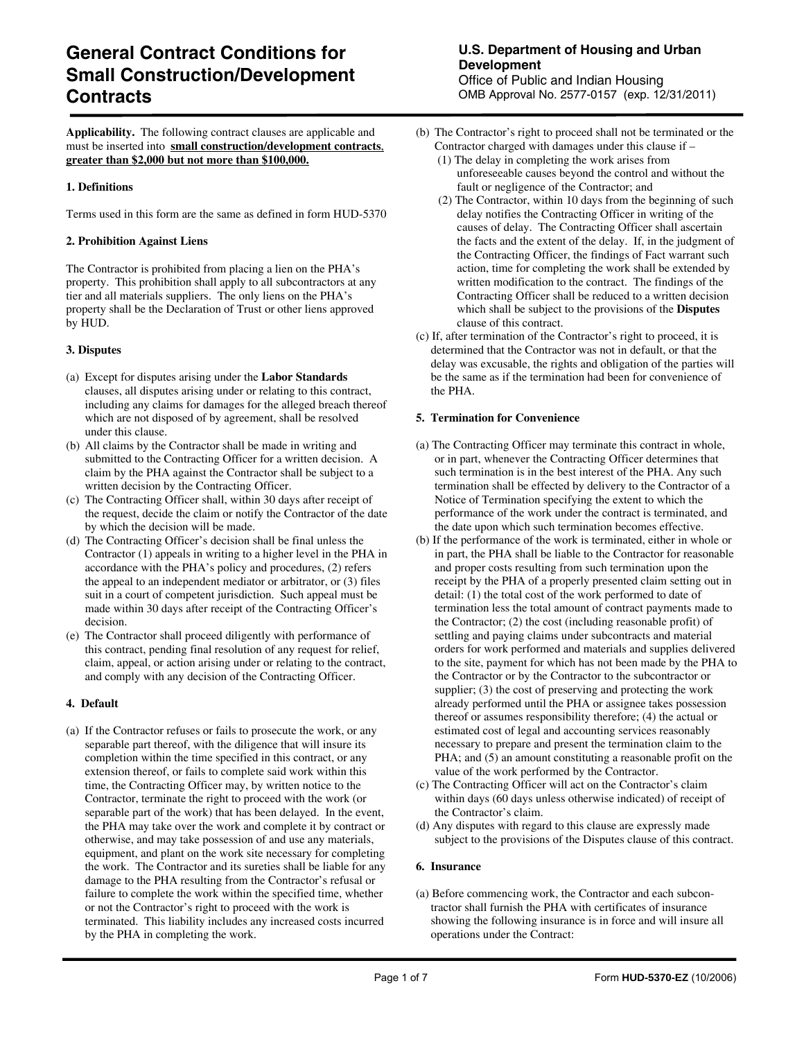# **General Contract Conditions for Small Construction/Development Contracts Contracts Contracts Contracts Contracts Contracts CONB** Approval No. 2577-0157 (exp. 12/31/2011)

**Applicability.** The following contract clauses are applicable and must be inserted into **small construction/development contracts**, **greater than \$2,000 but not more than \$100,000.**

#### **1. Definitions**

Terms used in this form are the same as defined in form HUD-5370

#### **2. Prohibition Against Liens**

The Contractor is prohibited from placing a lien on the PHA's property. This prohibition shall apply to all subcontractors at any tier and all materials suppliers. The only liens on the PHA's property shall be the Declaration of Trust or other liens approved by HUD.

#### **3. Disputes**

- (a) Except for disputes arising under the **Labor Standards** clauses, all disputes arising under or relating to this contract, including any claims for damages for the alleged breach thereof which are not disposed of by agreement, shall be resolved under this clause.
- (b) All claims by the Contractor shall be made in writing and submitted to the Contracting Officer for a written decision. A claim by the PHA against the Contractor shall be subject to a written decision by the Contracting Officer.
- (c) The Contracting Officer shall, within 30 days after receipt of the request, decide the claim or notify the Contractor of the date by which the decision will be made.
- (d) The Contracting Officer's decision shall be final unless the Contractor (1) appeals in writing to a higher level in the PHA in accordance with the PHA's policy and procedures, (2) refers the appeal to an independent mediator or arbitrator, or (3) files suit in a court of competent jurisdiction. Such appeal must be made within 30 days after receipt of the Contracting Officer's decision.
- (e) The Contractor shall proceed diligently with performance of this contract, pending final resolution of any request for relief, claim, appeal, or action arising under or relating to the contract, and comply with any decision of the Contracting Officer.

#### **4. Default**

(a) If the Contractor refuses or fails to prosecute the work, or any separable part thereof, with the diligence that will insure its completion within the time specified in this contract, or any extension thereof, or fails to complete said work within this time, the Contracting Officer may, by written notice to the Contractor, terminate the right to proceed with the work (or separable part of the work) that has been delayed. In the event, the PHA may take over the work and complete it by contract or otherwise, and may take possession of and use any materials, equipment, and plant on the work site necessary for completing the work. The Contractor and its sureties shall be liable for any damage to the PHA resulting from the Contractor's refusal or failure to complete the work within the specified time, whether or not the Contractor's right to proceed with the work is terminated. This liability includes any increased costs incurred by the PHA in completing the work.

## **U.S. Department of Housing and Urban Development**

Office of Public and Indian Housing

- (b) The Contractor's right to proceed shall not be terminated or the Contractor charged with damages under this clause if –
	- (1) The delay in completing the work arises from unforeseeable causes beyond the control and without the fault or negligence of the Contractor; and
	- (2) The Contractor, within 10 days from the beginning of such delay notifies the Contracting Officer in writing of the causes of delay. The Contracting Officer shall ascertain the facts and the extent of the delay. If, in the judgment of the Contracting Officer, the findings of Fact warrant such action, time for completing the work shall be extended by written modification to the contract. The findings of the Contracting Officer shall be reduced to a written decision which shall be subject to the provisions of the **Disputes**  clause of this contract.
- (c) If, after termination of the Contractor's right to proceed, it is determined that the Contractor was not in default, or that the delay was excusable, the rights and obligation of the parties will be the same as if the termination had been for convenience of the PHA.

#### **5. Termination for Convenience**

- (a) The Contracting Officer may terminate this contract in whole, or in part, whenever the Contracting Officer determines that such termination is in the best interest of the PHA. Any such termination shall be effected by delivery to the Contractor of a Notice of Termination specifying the extent to which the performance of the work under the contract is terminated, and the date upon which such termination becomes effective.
- (b) If the performance of the work is terminated, either in whole or in part, the PHA shall be liable to the Contractor for reasonable and proper costs resulting from such termination upon the receipt by the PHA of a properly presented claim setting out in detail: (1) the total cost of the work performed to date of termination less the total amount of contract payments made to the Contractor; (2) the cost (including reasonable profit) of settling and paying claims under subcontracts and material orders for work performed and materials and supplies delivered to the site, payment for which has not been made by the PHA to the Contractor or by the Contractor to the subcontractor or supplier; (3) the cost of preserving and protecting the work already performed until the PHA or assignee takes possession thereof or assumes responsibility therefore; (4) the actual or estimated cost of legal and accounting services reasonably necessary to prepare and present the termination claim to the PHA; and  $(5)$  an amount constituting a reasonable profit on the value of the work performed by the Contractor.
- (c) The Contracting Officer will act on the Contractor's claim within days (60 days unless otherwise indicated) of receipt of the Contractor's claim.
- (d) Any disputes with regard to this clause are expressly made subject to the provisions of the Disputes clause of this contract.

#### **6. Insurance**

(a) Before commencing work, the Contractor and each subcontractor shall furnish the PHA with certificates of insurance showing the following insurance is in force and will insure all operations under the Contract: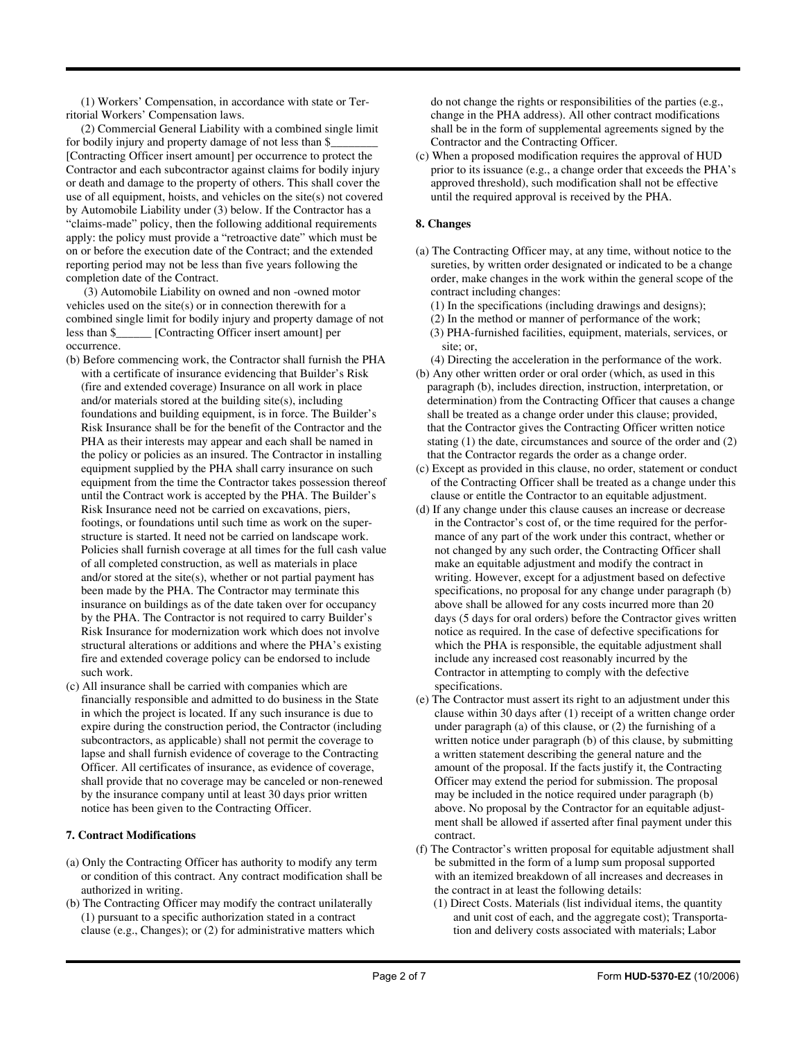(1) Workers' Compensation, in accordance with state or Territorial Workers' Compensation laws.

 (2) Commercial General Liability with a combined single limit for bodily injury and property damage of not less than \$\_\_\_\_\_\_\_\_ [Contracting Officer insert amount] per occurrence to protect the Contractor and each subcontractor against claims for bodily injury or death and damage to the property of others. This shall cover the use of all equipment, hoists, and vehicles on the site(s) not covered by Automobile Liability under (3) below. If the Contractor has a "claims-made" policy, then the following additional requirements apply: the policy must provide a "retroactive date" which must be on or before the execution date of the Contract; and the extended reporting period may not be less than five years following the completion date of the Contract.

 (3) Automobile Liability on owned and non -owned motor vehicles used on the site(s) or in connection therewith for a combined single limit for bodily injury and property damage of not less than \$\_\_\_\_\_\_ [Contracting Officer insert amount] per occurrence.

- (b) Before commencing work, the Contractor shall furnish the PHA with a certificate of insurance evidencing that Builder's Risk (fire and extended coverage) Insurance on all work in place and/or materials stored at the building site(s), including foundations and building equipment, is in force. The Builder's Risk Insurance shall be for the benefit of the Contractor and the PHA as their interests may appear and each shall be named in the policy or policies as an insured. The Contractor in installing equipment supplied by the PHA shall carry insurance on such equipment from the time the Contractor takes possession thereof until the Contract work is accepted by the PHA. The Builder's Risk Insurance need not be carried on excavations, piers, footings, or foundations until such time as work on the superstructure is started. It need not be carried on landscape work. Policies shall furnish coverage at all times for the full cash value of all completed construction, as well as materials in place and/or stored at the site(s), whether or not partial payment has been made by the PHA. The Contractor may terminate this insurance on buildings as of the date taken over for occupancy by the PHA. The Contractor is not required to carry Builder's Risk Insurance for modernization work which does not involve structural alterations or additions and where the PHA's existing fire and extended coverage policy can be endorsed to include such work.
- (c) All insurance shall be carried with companies which are financially responsible and admitted to do business in the State in which the project is located. If any such insurance is due to expire during the construction period, the Contractor (including subcontractors, as applicable) shall not permit the coverage to lapse and shall furnish evidence of coverage to the Contracting Officer. All certificates of insurance, as evidence of coverage, shall provide that no coverage may be canceled or non-renewed by the insurance company until at least 30 days prior written notice has been given to the Contracting Officer.

## **7. Contract Modifications**

- (a) Only the Contracting Officer has authority to modify any term or condition of this contract. Any contract modification shall be authorized in writing.
- (b) The Contracting Officer may modify the contract unilaterally (1) pursuant to a specific authorization stated in a contract clause (e.g., Changes); or (2) for administrative matters which

do not change the rights or responsibilities of the parties (e.g., change in the PHA address). All other contract modifications shall be in the form of supplemental agreements signed by the Contractor and the Contracting Officer.

(c) When a proposed modification requires the approval of HUD prior to its issuance (e.g., a change order that exceeds the PHA's approved threshold), such modification shall not be effective until the required approval is received by the PHA.

## **8. Changes**

- (a) The Contracting Officer may, at any time, without notice to the sureties, by written order designated or indicated to be a change order, make changes in the work within the general scope of the contract including changes:
	- (1) In the specifications (including drawings and designs);
	- (2) In the method or manner of performance of the work;
	- (3) PHA-furnished facilities, equipment, materials, services, or site; or,

(4) Directing the acceleration in the performance of the work.

- (b) Any other written order or oral order (which, as used in this paragraph (b), includes direction, instruction, interpretation, or determination) from the Contracting Officer that causes a change shall be treated as a change order under this clause; provided, that the Contractor gives the Contracting Officer written notice stating (1) the date, circumstances and source of the order and (2) that the Contractor regards the order as a change order.
- (c) Except as provided in this clause, no order, statement or conduct of the Contracting Officer shall be treated as a change under this clause or entitle the Contractor to an equitable adjustment.
- (d) If any change under this clause causes an increase or decrease in the Contractor's cost of, or the time required for the performance of any part of the work under this contract, whether or not changed by any such order, the Contracting Officer shall make an equitable adjustment and modify the contract in writing. However, except for a adjustment based on defective specifications, no proposal for any change under paragraph (b) above shall be allowed for any costs incurred more than 20 days (5 days for oral orders) before the Contractor gives written notice as required. In the case of defective specifications for which the PHA is responsible, the equitable adjustment shall include any increased cost reasonably incurred by the Contractor in attempting to comply with the defective specifications.
- (e) The Contractor must assert its right to an adjustment under this clause within 30 days after (1) receipt of a written change order under paragraph (a) of this clause, or (2) the furnishing of a written notice under paragraph (b) of this clause, by submitting a written statement describing the general nature and the amount of the proposal. If the facts justify it, the Contracting Officer may extend the period for submission. The proposal may be included in the notice required under paragraph (b) above. No proposal by the Contractor for an equitable adjustment shall be allowed if asserted after final payment under this contract.
- (f) The Contractor's written proposal for equitable adjustment shall be submitted in the form of a lump sum proposal supported with an itemized breakdown of all increases and decreases in the contract in at least the following details:
	- (1) Direct Costs. Materials (list individual items, the quantity and unit cost of each, and the aggregate cost); Transportation and delivery costs associated with materials; Labor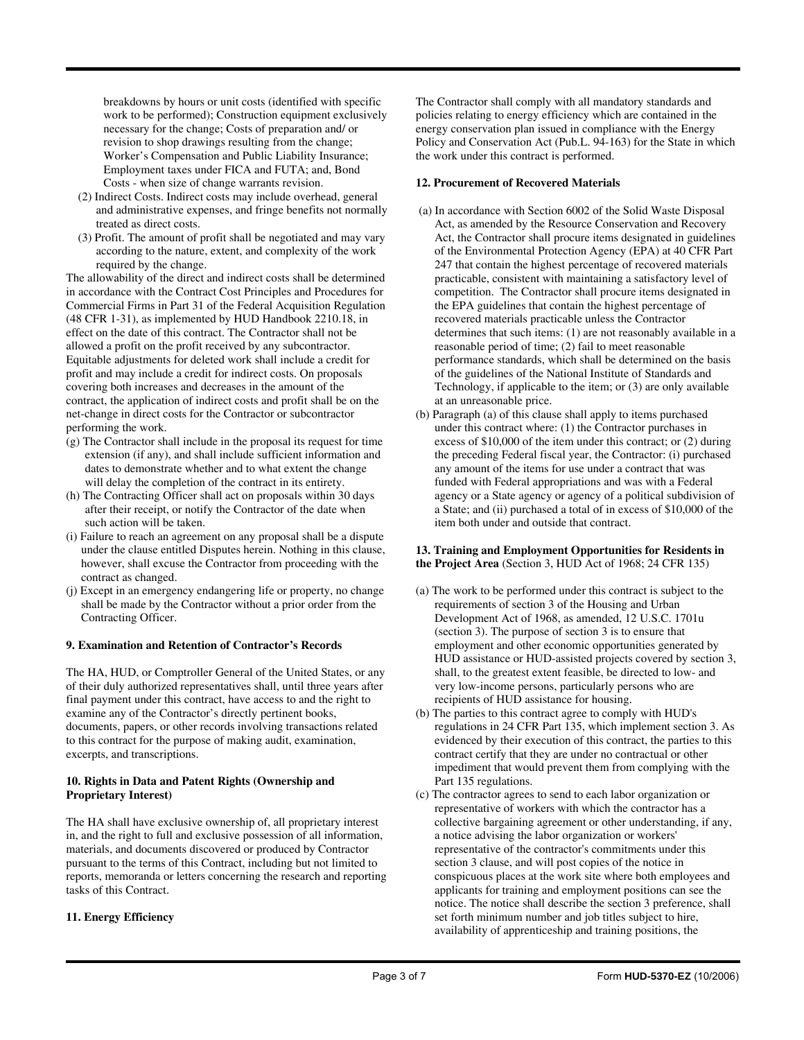breakdowns by hours or unit costs (identified with specific work to be performed); Construction equipment exclusively necessary for the change; Costs of preparation and/ or revision to shop drawings resulting from the change; Worker's Compensation and Public Liability Insurance; Employment taxes under FICA and FUTA; and, Bond Costs - when size of change warrants revision.

- (2) Indirect Costs. Indirect costs may include overhead, general and administrative expenses, and fringe benefits not normally treated as direct costs.
- (3) Profit. The amount of profit shall be negotiated and may vary according to the nature, extent, and complexity of the work required by the change.

The allowability of the direct and indirect costs shall be determined in accordance with the Contract Cost Principles and Procedures for Commercial Firms in Part 31 of the Federal Acquisition Regulation (48 CFR 1-31), as implemented by HUD Handbook 2210.18, in effect on the date of this contract. The Contractor shall not be allowed a profit on the profit received by any subcontractor. Equitable adjustments for deleted work shall include a credit for profit and may include a credit for indirect costs. On proposals covering both increases and decreases in the amount of the contract, the application of indirect costs and profit shall be on the net-change in direct costs for the Contractor or subcontractor performing the work.

- (g) The Contractor shall include in the proposal its request for time extension (if any), and shall include sufficient information and dates to demonstrate whether and to what extent the change will delay the completion of the contract in its entirety.
- (h) The Contracting Officer shall act on proposals within 30 days after their receipt, or notify the Contractor of the date when such action will be taken.
- (i) Failure to reach an agreement on any proposal shall be a dispute under the clause entitled Disputes herein. Nothing in this clause, however, shall excuse the Contractor from proceeding with the contract as changed.
- (j) Except in an emergency endangering life or property, no change shall be made by the Contractor without a prior order from the Contracting Officer.

#### **9. Examination and Retention of Contractor's Records**

The HA, HUD, or Comptroller General of the United States, or any of their duly authorized representatives shall, until three years after final payment under this contract, have access to and the right to examine any of the Contractor's directly pertinent books, documents, papers, or other records involving transactions related to this contract for the purpose of making audit, examination, excerpts, and transcriptions.

#### **10. Rights in Data and Patent Rights (Ownership and Proprietary Interest)**

The HA shall have exclusive ownership of, all proprietary interest in, and the right to full and exclusive possession of all information, materials, and documents discovered or produced by Contractor pursuant to the terms of this Contract, including but not limited to reports, memoranda or letters concerning the research and reporting tasks of this Contract.

#### **11. Energy Efficiency**

The Contractor shall comply with all mandatory standards and policies relating to energy efficiency which are contained in the energy conservation plan issued in compliance with the Energy Policy and Conservation Act (Pub.L. 94-163) for the State in which the work under this contract is performed.

#### **12. Procurement of Recovered Materials**

- (a) In accordance with Section 6002 of the Solid Waste Disposal Act, as amended by the Resource Conservation and Recovery Act, the Contractor shall procure items designated in guidelines of the Environmental Protection Agency (EPA) at 40 CFR Part 247 that contain the highest percentage of recovered materials practicable, consistent with maintaining a satisfactory level of competition. The Contractor shall procure items designated in the EPA guidelines that contain the highest percentage of recovered materials practicable unless the Contractor determines that such items: (1) are not reasonably available in a reasonable period of time; (2) fail to meet reasonable performance standards, which shall be determined on the basis of the guidelines of the National Institute of Standards and Technology, if applicable to the item; or (3) are only available at an unreasonable price.
- (b) Paragraph (a) of this clause shall apply to items purchased under this contract where: (1) the Contractor purchases in excess of \$10,000 of the item under this contract; or (2) during the preceding Federal fiscal year, the Contractor: (i) purchased any amount of the items for use under a contract that was funded with Federal appropriations and was with a Federal agency or a State agency or agency of a political subdivision of a State; and (ii) purchased a total of in excess of \$10,000 of the item both under and outside that contract.

#### **13. Training and Employment Opportunities for Residents in the Project Area** (Section 3, HUD Act of 1968; 24 CFR 135)

- (a) The work to be performed under this contract is subject to the requirements of section 3 of the Housing and Urban Development Act of 1968, as amended, 12 U.S.C. 1701u (section 3). The purpose of section 3 is to ensure that employment and other economic opportunities generated by HUD assistance or HUD-assisted projects covered by section 3, shall, to the greatest extent feasible, be directed to low- and very low-income persons, particularly persons who are recipients of HUD assistance for housing.
- (b) The parties to this contract agree to comply with HUD's regulations in 24 CFR Part 135, which implement section 3. As evidenced by their execution of this contract, the parties to this contract certify that they are under no contractual or other impediment that would prevent them from complying with the Part 135 regulations.
- (c) The contractor agrees to send to each labor organization or representative of workers with which the contractor has a collective bargaining agreement or other understanding, if any, a notice advising the labor organization or workers' representative of the contractor's commitments under this section 3 clause, and will post copies of the notice in conspicuous places at the work site where both employees and applicants for training and employment positions can see the notice. The notice shall describe the section 3 preference, shall set forth minimum number and job titles subject to hire, availability of apprenticeship and training positions, the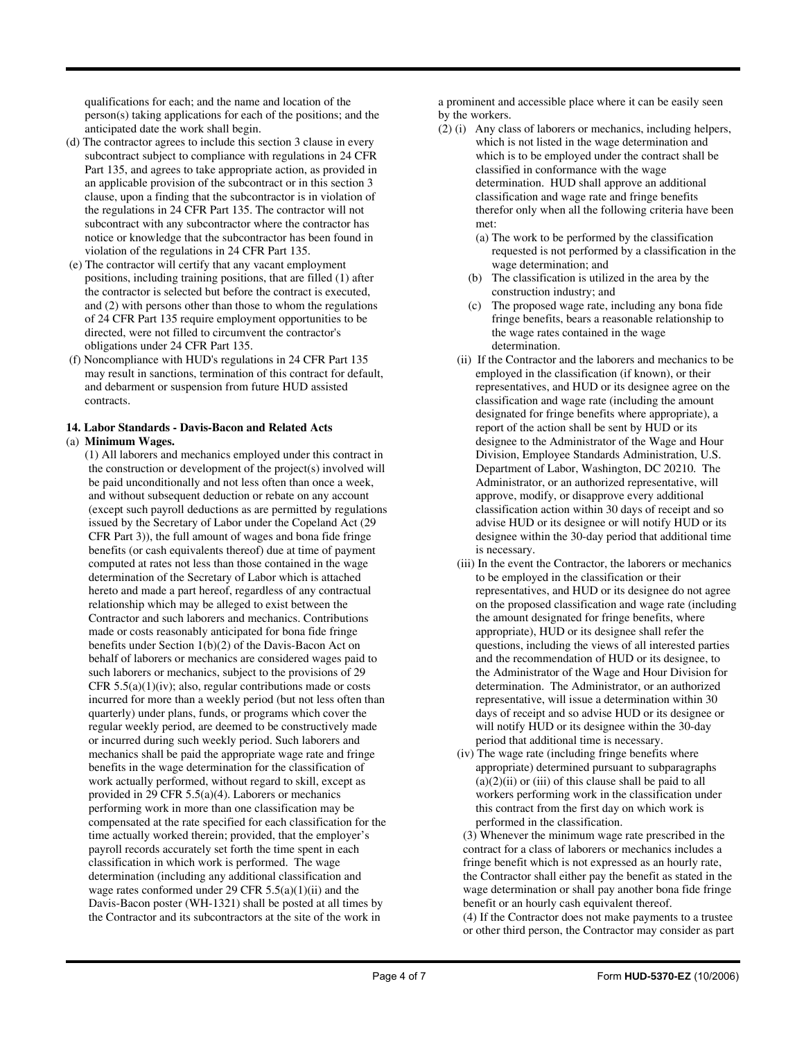qualifications for each; and the name and location of the person(s) taking applications for each of the positions; and the anticipated date the work shall begin.

- (d) The contractor agrees to include this section 3 clause in every subcontract subject to compliance with regulations in 24 CFR Part 135, and agrees to take appropriate action, as provided in an applicable provision of the subcontract or in this section 3 clause, upon a finding that the subcontractor is in violation of the regulations in 24 CFR Part 135. The contractor will not subcontract with any subcontractor where the contractor has notice or knowledge that the subcontractor has been found in violation of the regulations in 24 CFR Part 135.
- (e) The contractor will certify that any vacant employment positions, including training positions, that are filled (1) after the contractor is selected but before the contract is executed, and (2) with persons other than those to whom the regulations of 24 CFR Part 135 require employment opportunities to be directed, were not filled to circumvent the contractor's obligations under 24 CFR Part 135.
- (f) Noncompliance with HUD's regulations in 24 CFR Part 135 may result in sanctions, termination of this contract for default, and debarment or suspension from future HUD assisted contracts.

## **14. Labor Standards - Davis-Bacon and Related Acts**

### (a) **Minimum Wages.**

(1) All laborers and mechanics employed under this contract in the construction or development of the project(s) involved will be paid unconditionally and not less often than once a week, and without subsequent deduction or rebate on any account (except such payroll deductions as are permitted by regulations issued by the Secretary of Labor under the Copeland Act (29 CFR Part 3)), the full amount of wages and bona fide fringe benefits (or cash equivalents thereof) due at time of payment computed at rates not less than those contained in the wage determination of the Secretary of Labor which is attached hereto and made a part hereof, regardless of any contractual relationship which may be alleged to exist between the Contractor and such laborers and mechanics. Contributions made or costs reasonably anticipated for bona fide fringe benefits under Section 1(b)(2) of the Davis-Bacon Act on behalf of laborers or mechanics are considered wages paid to such laborers or mechanics, subject to the provisions of 29 CFR  $5.5(a)(1)(iv)$ ; also, regular contributions made or costs incurred for more than a weekly period (but not less often than quarterly) under plans, funds, or programs which cover the regular weekly period, are deemed to be constructively made or incurred during such weekly period. Such laborers and mechanics shall be paid the appropriate wage rate and fringe benefits in the wage determination for the classification of work actually performed, without regard to skill, except as provided in 29 CFR 5.5(a)(4). Laborers or mechanics performing work in more than one classification may be compensated at the rate specified for each classification for the time actually worked therein; provided, that the employer's payroll records accurately set forth the time spent in each classification in which work is performed. The wage determination (including any additional classification and wage rates conformed under 29 CFR  $5.5(a)(1)(ii)$  and the Davis-Bacon poster (WH-1321) shall be posted at all times by the Contractor and its subcontractors at the site of the work in

a prominent and accessible place where it can be easily seen by the workers.

- (2) (i) Any class of laborers or mechanics, including helpers, which is not listed in the wage determination and which is to be employed under the contract shall be classified in conformance with the wage determination. HUD shall approve an additional classification and wage rate and fringe benefits therefor only when all the following criteria have been met:
	- (a) The work to be performed by the classification requested is not performed by a classification in the wage determination; and
	- (b) The classification is utilized in the area by the construction industry; and
	- (c) The proposed wage rate, including any bona fide fringe benefits, bears a reasonable relationship to the wage rates contained in the wage determination.
	- (ii) If the Contractor and the laborers and mechanics to be employed in the classification (if known), or their representatives, and HUD or its designee agree on the classification and wage rate (including the amount designated for fringe benefits where appropriate), a report of the action shall be sent by HUD or its designee to the Administrator of the Wage and Hour Division, Employee Standards Administration, U.S. Department of Labor, Washington, DC 20210. The Administrator, or an authorized representative, will approve, modify, or disapprove every additional classification action within 30 days of receipt and so advise HUD or its designee or will notify HUD or its designee within the 30-day period that additional time is necessary.
	- (iii) In the event the Contractor, the laborers or mechanics to be employed in the classification or their representatives, and HUD or its designee do not agree on the proposed classification and wage rate (including the amount designated for fringe benefits, where appropriate), HUD or its designee shall refer the questions, including the views of all interested parties and the recommendation of HUD or its designee, to the Administrator of the Wage and Hour Division for determination. The Administrator, or an authorized representative, will issue a determination within 30 days of receipt and so advise HUD or its designee or will notify HUD or its designee within the 30-day period that additional time is necessary.
	- (iv) The wage rate (including fringe benefits where appropriate) determined pursuant to subparagraphs  $(a)(2)(ii)$  or  $(iii)$  of this clause shall be paid to all workers performing work in the classification under this contract from the first day on which work is performed in the classification.

(3) Whenever the minimum wage rate prescribed in the contract for a class of laborers or mechanics includes a fringe benefit which is not expressed as an hourly rate, the Contractor shall either pay the benefit as stated in the wage determination or shall pay another bona fide fringe benefit or an hourly cash equivalent thereof.

(4) If the Contractor does not make payments to a trustee or other third person, the Contractor may consider as part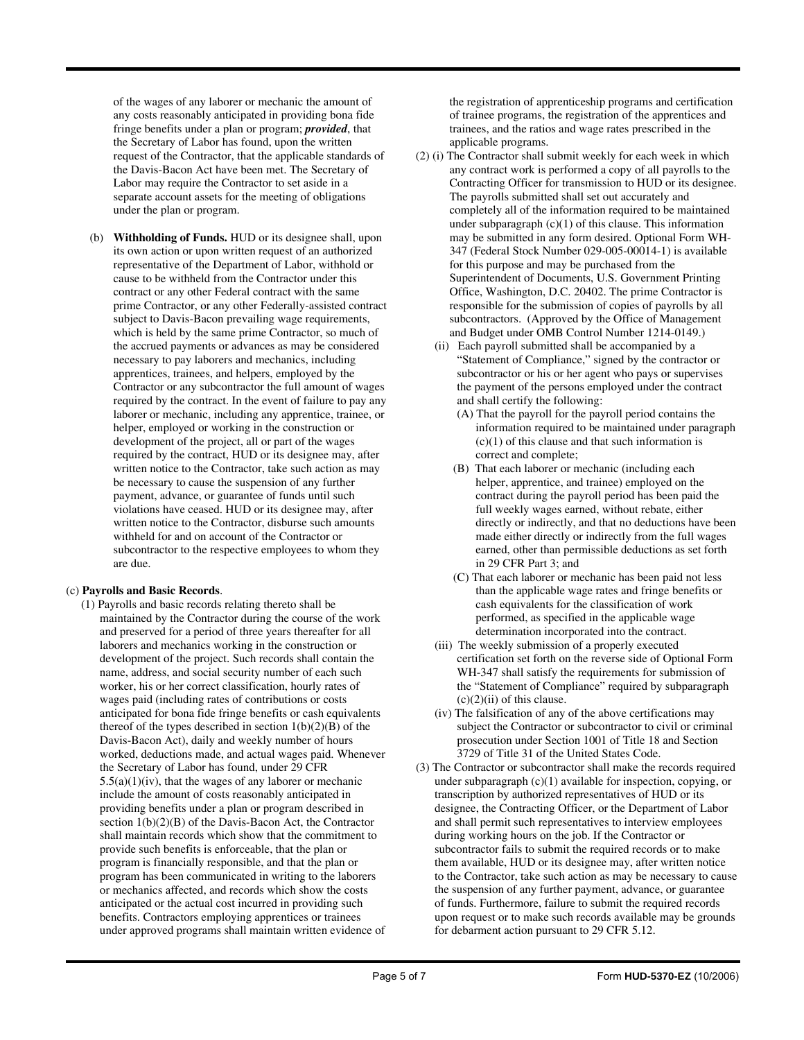of the wages of any laborer or mechanic the amount of any costs reasonably anticipated in providing bona fide fringe benefits under a plan or program; *provided*, that the Secretary of Labor has found, upon the written request of the Contractor, that the applicable standards of the Davis-Bacon Act have been met. The Secretary of Labor may require the Contractor to set aside in a separate account assets for the meeting of obligations under the plan or program.

(b) **Withholding of Funds.** HUD or its designee shall, upon its own action or upon written request of an authorized representative of the Department of Labor, withhold or cause to be withheld from the Contractor under this contract or any other Federal contract with the same prime Contractor, or any other Federally-assisted contract subject to Davis-Bacon prevailing wage requirements, which is held by the same prime Contractor, so much of the accrued payments or advances as may be considered necessary to pay laborers and mechanics, including apprentices, trainees, and helpers, employed by the Contractor or any subcontractor the full amount of wages required by the contract. In the event of failure to pay any laborer or mechanic, including any apprentice, trainee, or helper, employed or working in the construction or development of the project, all or part of the wages required by the contract, HUD or its designee may, after written notice to the Contractor, take such action as may be necessary to cause the suspension of any further payment, advance, or guarantee of funds until such violations have ceased. HUD or its designee may, after written notice to the Contractor, disburse such amounts withheld for and on account of the Contractor or subcontractor to the respective employees to whom they are due.

#### (c) **Payrolls and Basic Records**.

(1) Payrolls and basic records relating thereto shall be maintained by the Contractor during the course of the work and preserved for a period of three years thereafter for all laborers and mechanics working in the construction or development of the project. Such records shall contain the name, address, and social security number of each such worker, his or her correct classification, hourly rates of wages paid (including rates of contributions or costs anticipated for bona fide fringe benefits or cash equivalents thereof of the types described in section  $1(b)(2)(B)$  of the Davis-Bacon Act), daily and weekly number of hours worked, deductions made, and actual wages paid. Whenever the Secretary of Labor has found, under 29 CFR  $5.5(a)(1)(iv)$ , that the wages of any laborer or mechanic include the amount of costs reasonably anticipated in providing benefits under a plan or program described in section 1(b)(2)(B) of the Davis-Bacon Act, the Contractor shall maintain records which show that the commitment to provide such benefits is enforceable, that the plan or program is financially responsible, and that the plan or program has been communicated in writing to the laborers or mechanics affected, and records which show the costs anticipated or the actual cost incurred in providing such benefits. Contractors employing apprentices or trainees under approved programs shall maintain written evidence of the registration of apprenticeship programs and certification of trainee programs, the registration of the apprentices and trainees, and the ratios and wage rates prescribed in the applicable programs.

- (2) (i) The Contractor shall submit weekly for each week in which any contract work is performed a copy of all payrolls to the Contracting Officer for transmission to HUD or its designee. The payrolls submitted shall set out accurately and completely all of the information required to be maintained under subparagraph  $(c)(1)$  of this clause. This information may be submitted in any form desired. Optional Form WH-347 (Federal Stock Number 029-005-00014-1) is available for this purpose and may be purchased from the Superintendent of Documents, U.S. Government Printing Office, Washington, D.C. 20402. The prime Contractor is responsible for the submission of copies of payrolls by all subcontractors. (Approved by the Office of Management and Budget under OMB Control Number 1214-0149.)
	- (ii) Each payroll submitted shall be accompanied by a "Statement of Compliance," signed by the contractor or subcontractor or his or her agent who pays or supervises the payment of the persons employed under the contract and shall certify the following:
		- (A) That the payroll for the payroll period contains the information required to be maintained under paragraph  $(c)(1)$  of this clause and that such information is correct and complete;
		- (B) That each laborer or mechanic (including each helper, apprentice, and trainee) employed on the contract during the payroll period has been paid the full weekly wages earned, without rebate, either directly or indirectly, and that no deductions have been made either directly or indirectly from the full wages earned, other than permissible deductions as set forth in 29 CFR Part 3; and
		- (C) That each laborer or mechanic has been paid not less than the applicable wage rates and fringe benefits or cash equivalents for the classification of work performed, as specified in the applicable wage determination incorporated into the contract.
	- (iii) The weekly submission of a properly executed certification set forth on the reverse side of Optional Form WH-347 shall satisfy the requirements for submission of the "Statement of Compliance" required by subparagraph  $(c)(2)(ii)$  of this clause.
	- (iv) The falsification of any of the above certifications may subject the Contractor or subcontractor to civil or criminal prosecution under Section 1001 of Title 18 and Section 3729 of Title 31 of the United States Code.
- (3) The Contractor or subcontractor shall make the records required under subparagraph (c)(1) available for inspection, copying, or transcription by authorized representatives of HUD or its designee, the Contracting Officer, or the Department of Labor and shall permit such representatives to interview employees during working hours on the job. If the Contractor or subcontractor fails to submit the required records or to make them available, HUD or its designee may, after written notice to the Contractor, take such action as may be necessary to cause the suspension of any further payment, advance, or guarantee of funds. Furthermore, failure to submit the required records upon request or to make such records available may be grounds for debarment action pursuant to 29 CFR 5.12.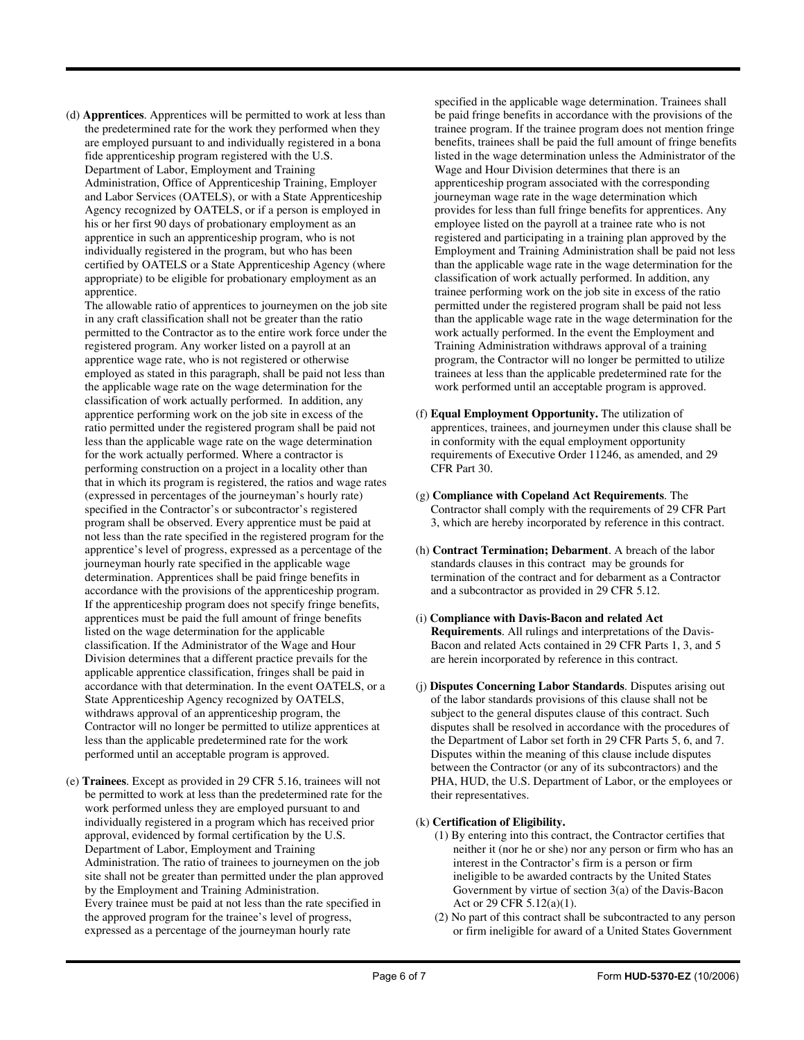(d) **Apprentices**. Apprentices will be permitted to work at less than the predetermined rate for the work they performed when they are employed pursuant to and individually registered in a bona fide apprenticeship program registered with the U.S. Department of Labor, Employment and Training Administration, Office of Apprenticeship Training, Employer and Labor Services (OATELS), or with a State Apprenticeship Agency recognized by OATELS, or if a person is employed in his or her first 90 days of probationary employment as an apprentice in such an apprenticeship program, who is not individually registered in the program, but who has been certified by OATELS or a State Apprenticeship Agency (where appropriate) to be eligible for probationary employment as an apprentice.

The allowable ratio of apprentices to journeymen on the job site in any craft classification shall not be greater than the ratio permitted to the Contractor as to the entire work force under the registered program. Any worker listed on a payroll at an apprentice wage rate, who is not registered or otherwise employed as stated in this paragraph, shall be paid not less than the applicable wage rate on the wage determination for the classification of work actually performed. In addition, any apprentice performing work on the job site in excess of the ratio permitted under the registered program shall be paid not less than the applicable wage rate on the wage determination for the work actually performed. Where a contractor is performing construction on a project in a locality other than that in which its program is registered, the ratios and wage rates (expressed in percentages of the journeyman's hourly rate) specified in the Contractor's or subcontractor's registered program shall be observed. Every apprentice must be paid at not less than the rate specified in the registered program for the apprentice's level of progress, expressed as a percentage of the journeyman hourly rate specified in the applicable wage determination. Apprentices shall be paid fringe benefits in accordance with the provisions of the apprenticeship program. If the apprenticeship program does not specify fringe benefits, apprentices must be paid the full amount of fringe benefits listed on the wage determination for the applicable classification. If the Administrator of the Wage and Hour Division determines that a different practice prevails for the applicable apprentice classification, fringes shall be paid in accordance with that determination. In the event OATELS, or a State Apprenticeship Agency recognized by OATELS, withdraws approval of an apprenticeship program, the Contractor will no longer be permitted to utilize apprentices at less than the applicable predetermined rate for the work performed until an acceptable program is approved.

(e) **Trainees**. Except as provided in 29 CFR 5.16, trainees will not be permitted to work at less than the predetermined rate for the work performed unless they are employed pursuant to and individually registered in a program which has received prior approval, evidenced by formal certification by the U.S. Department of Labor, Employment and Training Administration. The ratio of trainees to journeymen on the job site shall not be greater than permitted under the plan approved by the Employment and Training Administration. Every trainee must be paid at not less than the rate specified in the approved program for the trainee's level of progress, expressed as a percentage of the journeyman hourly rate

specified in the applicable wage determination. Trainees shall be paid fringe benefits in accordance with the provisions of the trainee program. If the trainee program does not mention fringe benefits, trainees shall be paid the full amount of fringe benefits listed in the wage determination unless the Administrator of the Wage and Hour Division determines that there is an apprenticeship program associated with the corresponding journeyman wage rate in the wage determination which provides for less than full fringe benefits for apprentices. Any employee listed on the payroll at a trainee rate who is not registered and participating in a training plan approved by the Employment and Training Administration shall be paid not less than the applicable wage rate in the wage determination for the classification of work actually performed. In addition, any trainee performing work on the job site in excess of the ratio permitted under the registered program shall be paid not less than the applicable wage rate in the wage determination for the work actually performed. In the event the Employment and Training Administration withdraws approval of a training program, the Contractor will no longer be permitted to utilize trainees at less than the applicable predetermined rate for the work performed until an acceptable program is approved.

- (f) **Equal Employment Opportunity.** The utilization of apprentices, trainees, and journeymen under this clause shall be in conformity with the equal employment opportunity requirements of Executive Order 11246, as amended, and 29 CFR Part 30.
- (g) **Compliance with Copeland Act Requirements**. The Contractor shall comply with the requirements of 29 CFR Part 3, which are hereby incorporated by reference in this contract.
- (h) **Contract Termination; Debarment**. A breach of the labor standards clauses in this contract may be grounds for termination of the contract and for debarment as a Contractor and a subcontractor as provided in 29 CFR 5.12.
- (i) **Compliance with Davis-Bacon and related Act Requirements**. All rulings and interpretations of the Davis-Bacon and related Acts contained in 29 CFR Parts 1, 3, and 5 are herein incorporated by reference in this contract.
- (j) **Disputes Concerning Labor Standards**. Disputes arising out of the labor standards provisions of this clause shall not be subject to the general disputes clause of this contract. Such disputes shall be resolved in accordance with the procedures of the Department of Labor set forth in 29 CFR Parts 5, 6, and 7. Disputes within the meaning of this clause include disputes between the Contractor (or any of its subcontractors) and the PHA, HUD, the U.S. Department of Labor, or the employees or their representatives.

## (k) **Certification of Eligibility.**

- (1) By entering into this contract, the Contractor certifies that neither it (nor he or she) nor any person or firm who has an interest in the Contractor's firm is a person or firm ineligible to be awarded contracts by the United States Government by virtue of section 3(a) of the Davis-Bacon Act or 29 CFR 5.12(a)(1).
- (2) No part of this contract shall be subcontracted to any person or firm ineligible for award of a United States Government